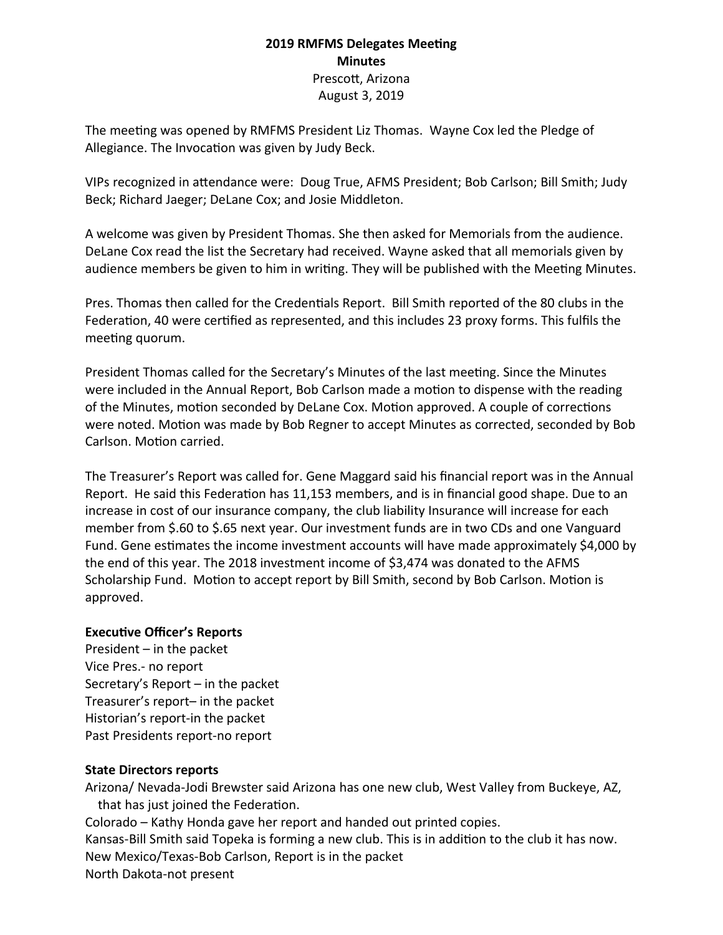### **2019 RMFMS Delegates Meeting Minutes** Prescott, Arizona August 3, 2019

The meeting was opened by RMFMS President Liz Thomas. Wayne Cox led the Pledge of Allegiance. The Invocation was given by Judy Beck.

VIPs recognized in attendance were: Doug True, AFMS President; Bob Carlson; Bill Smith; Judy Beck; Richard Jaeger; DeLane Cox; and Josie Middleton.

A welcome was given by President Thomas. She then asked for Memorials from the audience. DeLane Cox read the list the Secretary had received. Wayne asked that all memorials given by audience members be given to him in writing. They will be published with the Meeting Minutes.

Pres. Thomas then called for the Credentials Report. Bill Smith reported of the 80 clubs in the Federation, 40 were certified as represented, and this includes 23 proxy forms. This fulfils the meeting quorum.

President Thomas called for the Secretary's Minutes of the last meeting. Since the Minutes were included in the Annual Report, Bob Carlson made a motion to dispense with the reading of the Minutes, motion seconded by DeLane Cox. Motion approved. A couple of corrections were noted. Motion was made by Bob Regner to accept Minutes as corrected, seconded by Bob Carlson. Motion carried.

The Treasurer's Report was called for. Gene Maggard said his financial report was in the Annual Report. He said this Federation has 11,153 members, and is in financial good shape. Due to an increase in cost of our insurance company, the club liability Insurance will increase for each member from \$.60 to \$.65 next year. Our investment funds are in two CDs and one Vanguard Fund. Gene estimates the income investment accounts will have made approximately \$4,000 by the end of this year. The 2018 investment income of \$3,474 was donated to the AFMS Scholarship Fund. Motion to accept report by Bill Smith, second by Bob Carlson. Motion is approved.

### **Executive Officer's Reports**

President – in the packet Vice Pres.- no report Secretary's Report – in the packet Treasurer's report– in the packet Historian's report-in the packet Past Presidents report-no report

### **State Directors reports**

Arizona/ Nevada-Jodi Brewster said Arizona has one new club, West Valley from Buckeye, AZ, that has just joined the Federation. Colorado – Kathy Honda gave her report and handed out printed copies. Kansas-Bill Smith said Topeka is forming a new club. This is in addition to the club it has now. New Mexico/Texas-Bob Carlson, Report is in the packet North Dakota-not present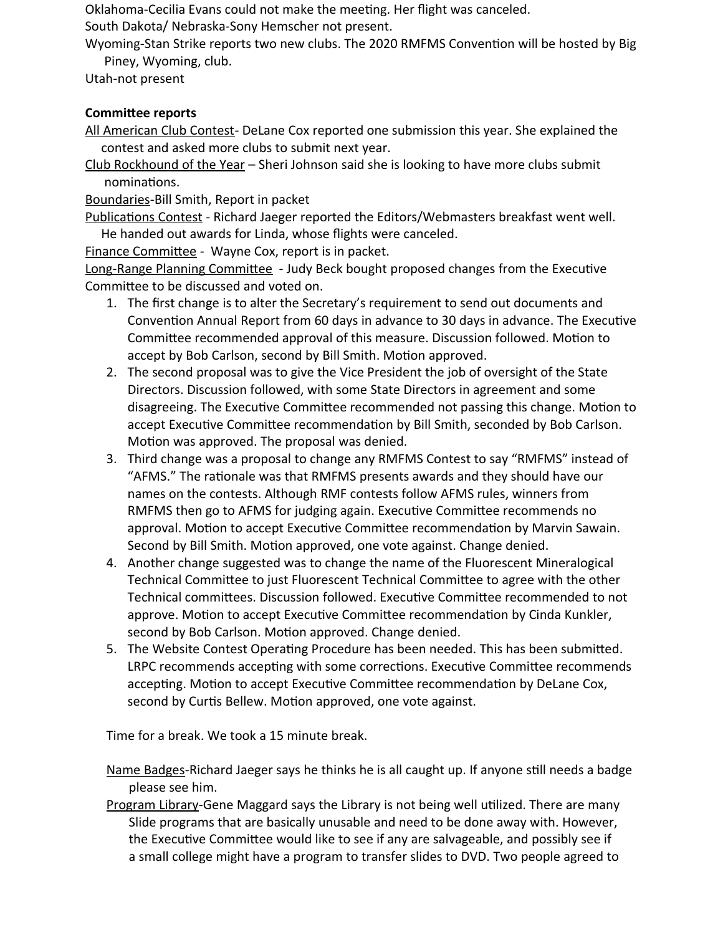Oklahoma-Cecilia Evans could not make the meeting. Her flight was canceled.

South Dakota/ Nebraska-Sony Hemscher not present.

Wyoming-Stan Strike reports two new clubs. The 2020 RMFMS Convention will be hosted by Big Piney, Wyoming, club.

Utah-not present

# **Committee reports**

All American Club Contest- DeLane Cox reported one submission this year. She explained the contest and asked more clubs to submit next year.

Club Rockhound of the Year – Sheri Johnson said she is looking to have more clubs submit nominations.

Boundaries-Bill Smith, Report in packet

Publications Contest - Richard Jaeger reported the Editors/Webmasters breakfast went well. He handed out awards for Linda, whose flights were canceled.

Finance Committee - Wayne Cox, report is in packet.

Long-Range Planning Committee - Judy Beck bought proposed changes from the Executive Committee to be discussed and voted on.

- 1. The first change is to alter the Secretary's requirement to send out documents and Convention Annual Report from 60 days in advance to 30 days in advance. The Executive Committee recommended approval of this measure. Discussion followed. Motion to accept by Bob Carlson, second by Bill Smith. Motion approved.
- 2. The second proposal was to give the Vice President the job of oversight of the State Directors. Discussion followed, with some State Directors in agreement and some disagreeing. The Executive Committee recommended not passing this change. Motion to accept Executive Committee recommendation by Bill Smith, seconded by Bob Carlson. Motion was approved. The proposal was denied.
- 3. Third change was a proposal to change any RMFMS Contest to say "RMFMS" instead of "AFMS." The rationale was that RMFMS presents awards and they should have our names on the contests. Although RMF contests follow AFMS rules, winners from RMFMS then go to AFMS for judging again. Executive Committee recommends no approval. Motion to accept Executive Committee recommendation by Marvin Sawain. Second by Bill Smith. Motion approved, one vote against. Change denied.
- 4. Another change suggested was to change the name of the Fluorescent Mineralogical Technical Committee to just Fluorescent Technical Committee to agree with the other Technical committees. Discussion followed. Executive Committee recommended to not approve. Motion to accept Executive Committee recommendation by Cinda Kunkler, second by Bob Carlson. Motion approved. Change denied.
- 5. The Website Contest Operating Procedure has been needed. This has been submitted. LRPC recommends accepting with some corrections. Executive Committee recommends accepting. Motion to accept Executive Committee recommendation by DeLane Cox, second by Curtis Bellew. Motion approved, one vote against.

Time for a break. We took a 15 minute break.

Name Badges-Richard Jaeger says he thinks he is all caught up. If anyone still needs a badge please see him.

Program Library-Gene Maggard says the Library is not being well utilized. There are many Slide programs that are basically unusable and need to be done away with. However, the Executive Committee would like to see if any are salvageable, and possibly see if a small college might have a program to transfer slides to DVD. Two people agreed to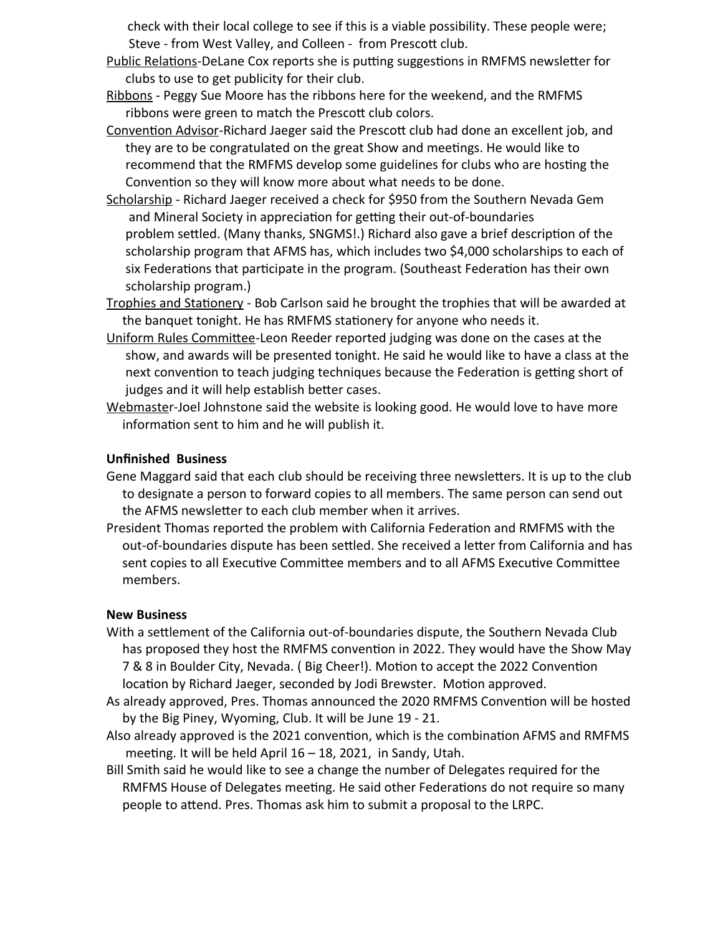check with their local college to see if this is a viable possibility. These people were; Steve - from West Valley, and Colleen - from Prescott club.

- Public Relations-DeLane Cox reports she is putting suggestions in RMFMS newsletter for clubs to use to get publicity for their club.
- Ribbons Peggy Sue Moore has the ribbons here for the weekend, and the RMFMS ribbons were green to match the Prescott club colors.

Convention Advisor-Richard Jaeger said the Prescott club had done an excellent job, and they are to be congratulated on the great Show and meetings. He would like to recommend that the RMFMS develop some guidelines for clubs who are hosting the Convention so they will know more about what needs to be done.

- Scholarship Richard Jaeger received a check for \$950 from the Southern Nevada Gem and Mineral Society in appreciation for getting their out-of-boundaries problem settled. (Many thanks, SNGMS!.) Richard also gave a brief description of the scholarship program that AFMS has, which includes two \$4,000 scholarships to each of six Federations that participate in the program. (Southeast Federation has their own scholarship program.)
- Trophies and Stationery Bob Carlson said he brought the trophies that will be awarded at the banquet tonight. He has RMFMS stationery for anyone who needs it.
- Uniform Rules Committee-Leon Reeder reported judging was done on the cases at the show, and awards will be presented tonight. He said he would like to have a class at the next convention to teach judging techniques because the Federation is getting short of judges and it will help establish better cases.
- Webmaster-Joel Johnstone said the website is looking good. He would love to have more information sent to him and he will publish it.

### **Unfinished Business**

- Gene Maggard said that each club should be receiving three newsletters. It is up to the club to designate a person to forward copies to all members. The same person can send out the AFMS newsletter to each club member when it arrives.
- President Thomas reported the problem with California Federation and RMFMS with the out-of-boundaries dispute has been settled. She received a letter from California and has sent copies to all Executive Committee members and to all AFMS Executive Committee members.

### **New Business**

- With a settlement of the California out-of-boundaries dispute, the Southern Nevada Club has proposed they host the RMFMS convention in 2022. They would have the Show May 7 & 8 in Boulder City, Nevada. ( Big Cheer!). Motion to accept the 2022 Convention location by Richard Jaeger, seconded by Jodi Brewster. Motion approved.
- As already approved, Pres. Thomas announced the 2020 RMFMS Convention will be hosted by the Big Piney, Wyoming, Club. It will be June 19 - 21.
- Also already approved is the 2021 convention, which is the combination AFMS and RMFMS meeting. It will be held April 16 – 18, 2021, in Sandy, Utah.
- Bill Smith said he would like to see a change the number of Delegates required for the RMFMS House of Delegates meeting. He said other Federations do not require so many people to attend. Pres. Thomas ask him to submit a proposal to the LRPC.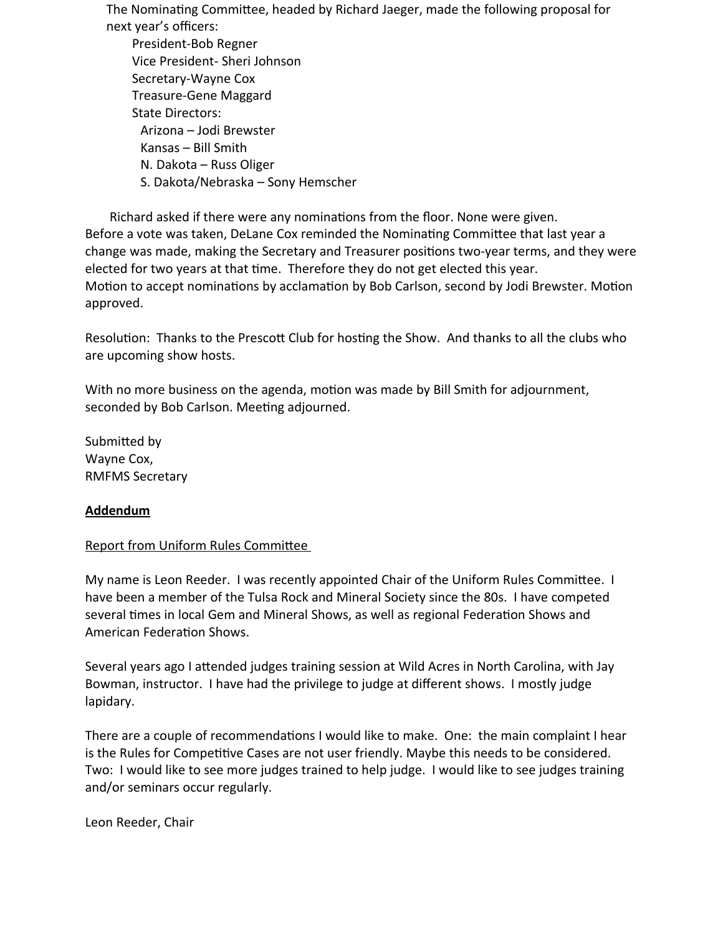The Nominating Committee, headed by Richard Jaeger, made the following proposal for next year's officers:

 President-Bob Regner Vice President- Sheri Johnson Secretary-Wayne Cox Treasure-Gene Maggard State Directors: Arizona – Jodi Brewster Kansas – Bill Smith N. Dakota – Russ Oliger S. Dakota/Nebraska – Sony Hemscher

Richard asked if there were any nominations from the floor. None were given. Before a vote was taken, DeLane Cox reminded the Nominating Committee that last year a change was made, making the Secretary and Treasurer positions two-year terms, and they were elected for two years at that time. Therefore they do not get elected this year. Motion to accept nominations by acclamation by Bob Carlson, second by Jodi Brewster. Motion approved.

Resolution: Thanks to the Prescott Club for hosting the Show. And thanks to all the clubs who are upcoming show hosts.

With no more business on the agenda, motion was made by Bill Smith for adjournment, seconded by Bob Carlson. Meeting adjourned.

Submitted by Wayne Cox, RMFMS Secretary

### **Addendum**

### Report from Uniform Rules Committee

My name is Leon Reeder. I was recently appointed Chair of the Uniform Rules Committee. I have been a member of the Tulsa Rock and Mineral Society since the 80s. I have competed several times in local Gem and Mineral Shows, as well as regional Federation Shows and American Federation Shows.

Several years ago I attended judges training session at Wild Acres in North Carolina, with Jay Bowman, instructor. I have had the privilege to judge at different shows. I mostly judge lapidary.

There are a couple of recommendations I would like to make. One: the main complaint I hear is the Rules for Competitive Cases are not user friendly. Maybe this needs to be considered. Two: I would like to see more judges trained to help judge. I would like to see judges training and/or seminars occur regularly.

Leon Reeder, Chair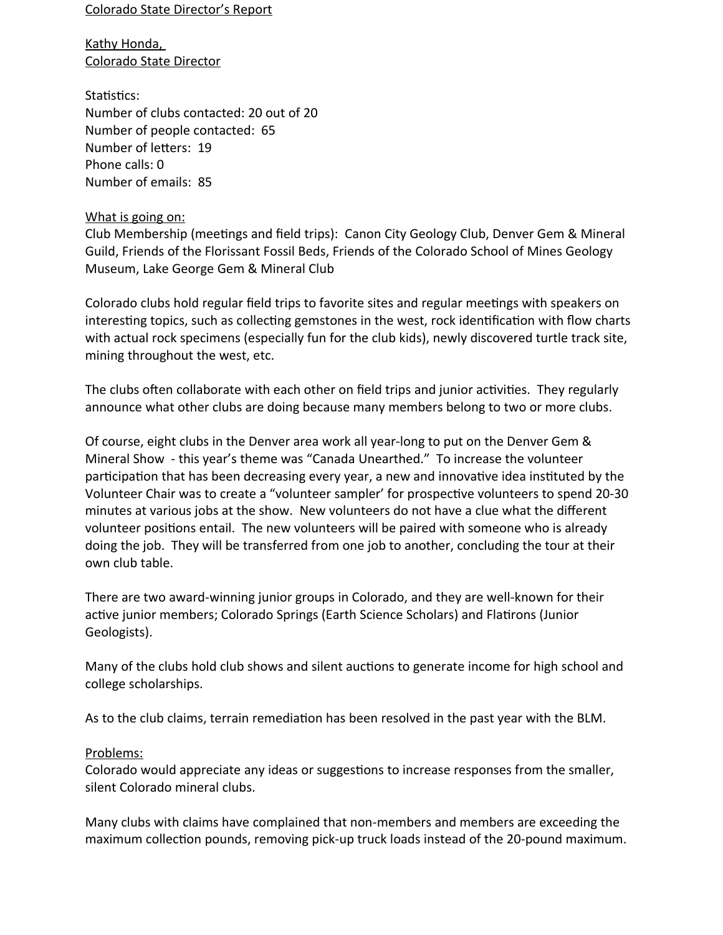Colorado State Director's Report

Kathy Honda, Colorado State Director

Statistics: Number of clubs contacted: 20 out of 20 Number of people contacted: 65 Number of letters: 19 Phone calls: 0 Number of emails: 85

### What is going on:

Club Membership (meetings and field trips): Canon City Geology Club, Denver Gem & Mineral Guild, Friends of the Florissant Fossil Beds, Friends of the Colorado School of Mines Geology Museum, Lake George Gem & Mineral Club

Colorado clubs hold regular field trips to favorite sites and regular meetings with speakers on interesting topics, such as collecting gemstones in the west, rock identification with flow charts with actual rock specimens (especially fun for the club kids), newly discovered turtle track site, mining throughout the west, etc.

The clubs often collaborate with each other on field trips and junior activities. They regularly announce what other clubs are doing because many members belong to two or more clubs.

Of course, eight clubs in the Denver area work all year-long to put on the Denver Gem & Mineral Show - this year's theme was "Canada Unearthed." To increase the volunteer participation that has been decreasing every year, a new and innovative idea instituted by the Volunteer Chair was to create a "volunteer sampler' for prospective volunteers to spend 20-30 minutes at various jobs at the show. New volunteers do not have a clue what the different volunteer positions entail. The new volunteers will be paired with someone who is already doing the job. They will be transferred from one job to another, concluding the tour at their own club table.

There are two award-winning junior groups in Colorado, and they are well-known for their active junior members; Colorado Springs (Earth Science Scholars) and Flatirons (Junior Geologists).

Many of the clubs hold club shows and silent auctions to generate income for high school and college scholarships.

As to the club claims, terrain remediation has been resolved in the past year with the BLM.

#### Problems:

Colorado would appreciate any ideas or suggestions to increase responses from the smaller, silent Colorado mineral clubs.

Many clubs with claims have complained that non-members and members are exceeding the maximum collection pounds, removing pick-up truck loads instead of the 20-pound maximum.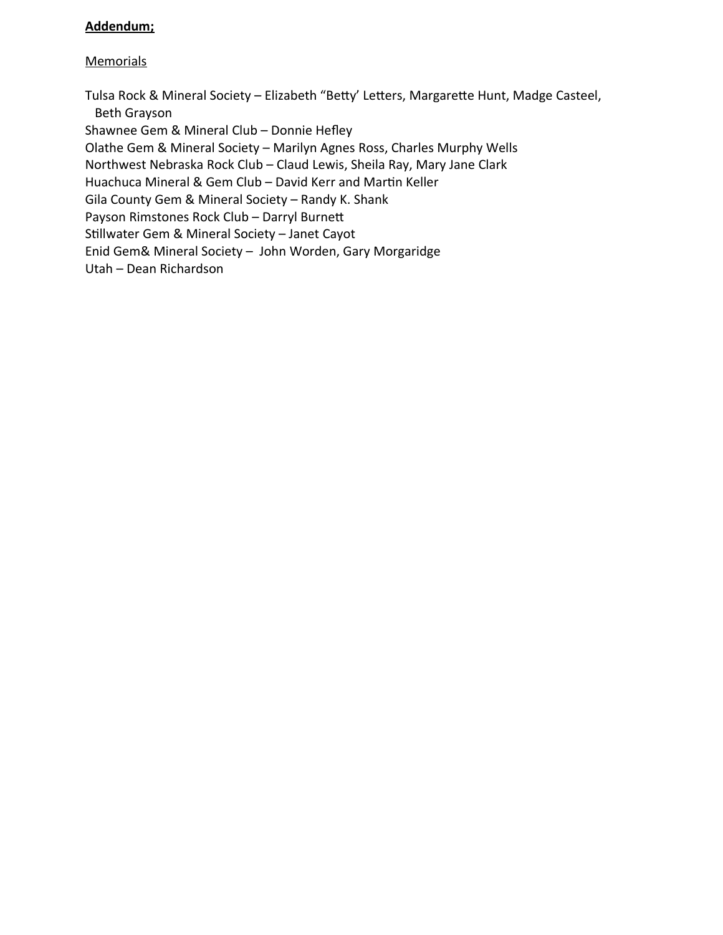## **Addendum;**

## **Memorials**

Tulsa Rock & Mineral Society – Elizabeth "Betty' Letters, Margarette Hunt, Madge Casteel, Beth Grayson

Shawnee Gem & Mineral Club – Donnie Hefley

Olathe Gem & Mineral Society – Marilyn Agnes Ross, Charles Murphy Wells

Northwest Nebraska Rock Club – Claud Lewis, Sheila Ray, Mary Jane Clark

Huachuca Mineral & Gem Club – David Kerr and Martin Keller

Gila County Gem & Mineral Society – Randy K. Shank

Payson Rimstones Rock Club – Darryl Burnett

Stillwater Gem & Mineral Society – Janet Cayot

Enid Gem& Mineral Society – John Worden, Gary Morgaridge

Utah – Dean Richardson